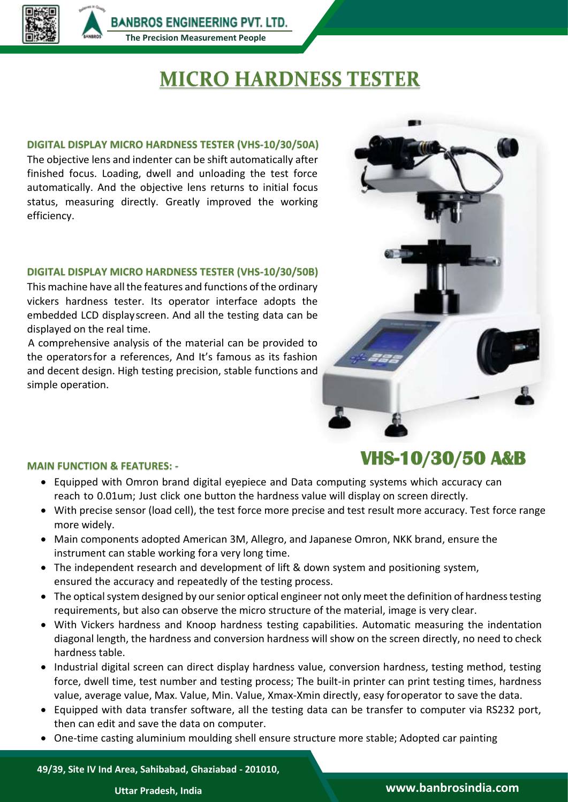

**BANBROS ENGINEERING PVT. LTD. The Precision Measurement People**

# **MICRO HARDNESS TESTER**

#### **DIGITAL DISPLAY MICRO HARDNESS TESTER (VHS-10/30/50A)**

The objective lens and indenter can be shift automatically after finished focus. Loading, dwell and unloading the test force automatically. And the objective lens returns to initial focus status, measuring directly. Greatly improved the working efficiency.

#### **DIGITAL DISPLAY MICRO HARDNESS TESTER (VHS-10/30/50B)**

This machine have all the features and functions of the ordinary vickers hardness tester. Its operator interface adopts the embedded LCD displayscreen. And all the testing data can be displayed on the real time.

A comprehensive analysis of the material can be provided to the operatorsfor a references, And It's famous as its fashion and decent design. High testing precision, stable functions and simple operation.



## **VHS-10/30/50 A&B**

#### **MAIN FUNCTION & FEATURES: -**

- Equipped with Omron brand digital eyepiece and Data computing systems which accuracy can reach to 0.01um; Just click one button the hardness value will display on screen directly.
- With precise sensor (load cell), the test force more precise and test result more accuracy. Test force range more widely.
- Main components adopted American 3M, Allegro, and Japanese Omron, NKK brand, ensure the instrument can stable working fora very long time.
- The independent research and development of lift & down system and positioning system, ensured the accuracy and repeatedly of the testing process.
- The optical system designed by our senior optical engineer not only meet the definition of hardness testing requirements, but also can observe the micro structure of the material, image is very clear.
- With Vickers hardness and Knoop hardness testing capabilities. Automatic measuring the indentation diagonal length, the hardness and conversion hardness will show on the screen directly, no need to check hardness table.
- Industrial digital screen can direct display hardness value, conversion hardness, testing method, testing force, dwell time, test number and testing process; The built-in printer can print testing times, hardness value, average value, Max. Value, Min. Value, Xmax-Xmin directly, easy foroperator to save the data.
- Equipped with data transfer software, all the testing data can be transfer to computer via RS232 port, then can edit and save the data on computer.
- One-time casting aluminium moulding shell ensure structure more stable; Adopted car painting

#### **49/39, Site IV Ind Area, Sahibabad, Ghaziabad - 201010,**

### **Uttar Pradesh, India www.banbrosindia.com**